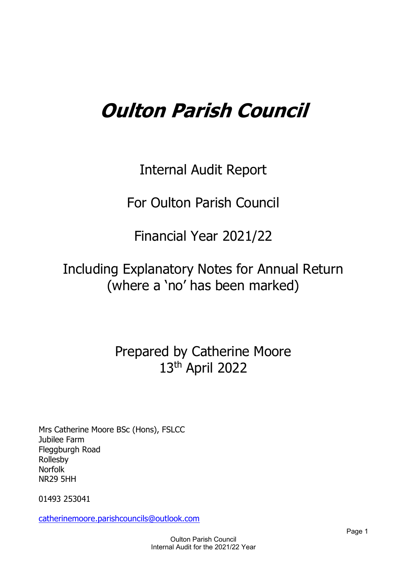# **Oulton Parish Council**

Internal Audit Report

For Oulton Parish Council

Financial Year 2021/22

## Including Explanatory Notes for Annual Return (where a 'no' has been marked)

## Prepared by Catherine Moore 13th April 2022

Mrs Catherine Moore BSc (Hons), FSLCC Jubilee Farm Fleggburgh Road Rollesby Norfolk NR29 5HH

01493 253041

[catherinemoore.parishcouncils@outlook.com](mailto:catherinemoore.parishcouncils@outlook.com)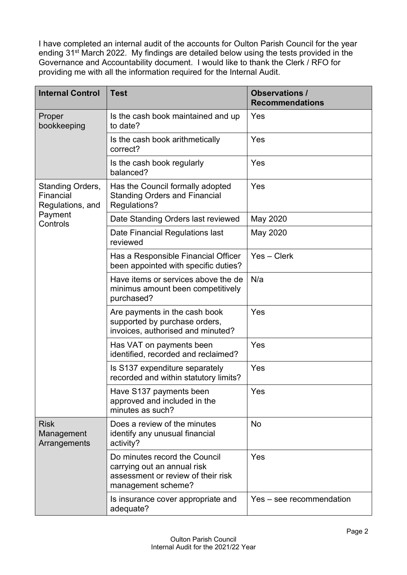I have completed an internal audit of the accounts for Oulton Parish Council for the year ending 31<sup>st</sup> March 2022. My findings are detailed below using the tests provided in the Governance and Accountability document. I would like to thank the Clerk / RFO for providing me with all the information required for the Internal Audit.

| <b>Internal Control</b>                           | <b>Test</b>                                                                                                              | <b>Observations /</b><br><b>Recommendations</b> |
|---------------------------------------------------|--------------------------------------------------------------------------------------------------------------------------|-------------------------------------------------|
| Proper<br>bookkeeping                             | Is the cash book maintained and up<br>to date?                                                                           | Yes                                             |
|                                                   | Is the cash book arithmetically<br>correct?                                                                              | Yes                                             |
|                                                   | Is the cash book regularly<br>balanced?                                                                                  | Yes                                             |
| Standing Orders,<br>Financial<br>Regulations, and | Has the Council formally adopted<br><b>Standing Orders and Financial</b><br>Regulations?                                 | Yes                                             |
| Payment<br>Controls                               | Date Standing Orders last reviewed                                                                                       | May 2020                                        |
|                                                   | Date Financial Regulations last<br>reviewed                                                                              | May 2020                                        |
|                                                   | Has a Responsible Financial Officer<br>been appointed with specific duties?                                              | Yes - Clerk                                     |
|                                                   | Have items or services above the de<br>minimus amount been competitively<br>purchased?                                   | N/a                                             |
|                                                   | Are payments in the cash book<br>supported by purchase orders,<br>invoices, authorised and minuted?                      | Yes                                             |
|                                                   | Has VAT on payments been<br>identified, recorded and reclaimed?                                                          | Yes                                             |
|                                                   | Is S137 expenditure separately<br>recorded and within statutory limits?                                                  | Yes                                             |
|                                                   | Have S137 payments been<br>approved and included in the<br>minutes as such?                                              | Yes                                             |
| <b>Risk</b><br>Management<br>Arrangements         | Does a review of the minutes<br>identify any unusual financial<br>activity?                                              | No                                              |
|                                                   | Do minutes record the Council<br>carrying out an annual risk<br>assessment or review of their risk<br>management scheme? | Yes                                             |
|                                                   | Is insurance cover appropriate and<br>adequate?                                                                          | Yes – see recommendation                        |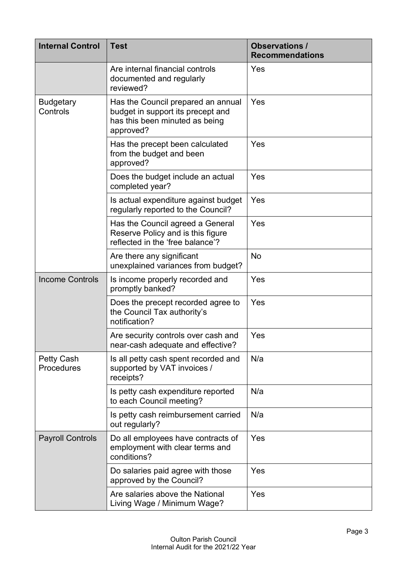| <b>Internal Control</b>         | <b>Test</b>                                                                                                            | <b>Observations /</b><br><b>Recommendations</b> |
|---------------------------------|------------------------------------------------------------------------------------------------------------------------|-------------------------------------------------|
|                                 | Are internal financial controls<br>documented and regularly<br>reviewed?                                               | Yes                                             |
| <b>Budgetary</b><br>Controls    | Has the Council prepared an annual<br>budget in support its precept and<br>has this been minuted as being<br>approved? | Yes                                             |
|                                 | Has the precept been calculated<br>from the budget and been<br>approved?                                               | Yes                                             |
|                                 | Does the budget include an actual<br>completed year?                                                                   | Yes                                             |
|                                 | Is actual expenditure against budget<br>regularly reported to the Council?                                             | Yes                                             |
|                                 | Has the Council agreed a General<br>Reserve Policy and is this figure<br>reflected in the 'free balance'?              | Yes                                             |
|                                 | Are there any significant<br>unexplained variances from budget?                                                        | <b>No</b>                                       |
| <b>Income Controls</b>          | Is income properly recorded and<br>promptly banked?                                                                    | Yes                                             |
|                                 | Does the precept recorded agree to<br>the Council Tax authority's<br>notification?                                     | Yes                                             |
|                                 | Are security controls over cash and<br>near-cash adequate and effective?                                               | Yes                                             |
| <b>Petty Cash</b><br>Procedures | Is all petty cash spent recorded and<br>supported by VAT invoices /<br>receipts?                                       | N/a                                             |
|                                 | Is petty cash expenditure reported<br>to each Council meeting?                                                         | N/a                                             |
|                                 | Is petty cash reimbursement carried<br>out regularly?                                                                  | N/a                                             |
| <b>Payroll Controls</b>         | Do all employees have contracts of<br>employment with clear terms and<br>conditions?                                   | Yes                                             |
|                                 | Do salaries paid agree with those<br>approved by the Council?                                                          | Yes                                             |
|                                 | Are salaries above the National<br>Living Wage / Minimum Wage?                                                         | Yes                                             |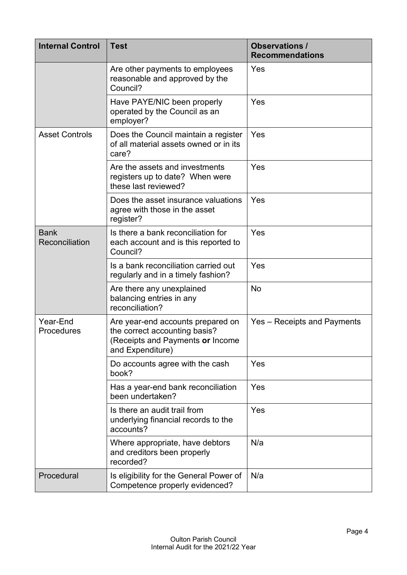| <b>Internal Control</b>       | <b>Test</b>                                                                                                                | <b>Observations /</b><br><b>Recommendations</b> |
|-------------------------------|----------------------------------------------------------------------------------------------------------------------------|-------------------------------------------------|
|                               | Are other payments to employees<br>reasonable and approved by the<br>Council?                                              | Yes                                             |
|                               | Have PAYE/NIC been properly<br>operated by the Council as an<br>employer?                                                  | Yes                                             |
| <b>Asset Controls</b>         | Does the Council maintain a register<br>of all material assets owned or in its<br>care?                                    | Yes                                             |
|                               | Are the assets and investments<br>registers up to date? When were<br>these last reviewed?                                  | Yes                                             |
|                               | Does the asset insurance valuations<br>agree with those in the asset<br>register?                                          | Yes                                             |
| <b>Bank</b><br>Reconciliation | Is there a bank reconciliation for<br>each account and is this reported to<br>Council?                                     | Yes                                             |
|                               | Is a bank reconciliation carried out<br>regularly and in a timely fashion?                                                 | Yes                                             |
|                               | Are there any unexplained<br>balancing entries in any<br>reconciliation?                                                   | No                                              |
| Year-End<br><b>Procedures</b> | Are year-end accounts prepared on<br>the correct accounting basis?<br>(Receipts and Payments or Income<br>and Expenditure) | Yes – Receipts and Payments                     |
|                               | Do accounts agree with the cash<br>book?                                                                                   | Yes                                             |
|                               | Has a year-end bank reconciliation<br>been undertaken?                                                                     | Yes                                             |
|                               | Is there an audit trail from<br>underlying financial records to the<br>accounts?                                           | Yes                                             |
|                               | Where appropriate, have debtors<br>and creditors been properly<br>recorded?                                                | N/a                                             |
| Procedural                    | Is eligibility for the General Power of<br>Competence properly evidenced?                                                  | N/a                                             |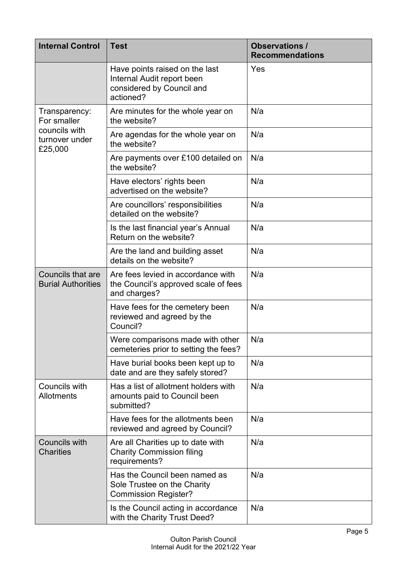| <b>Internal Control</b>                                                    | <b>Test</b>                                                                                            | <b>Observations /</b><br><b>Recommendations</b> |
|----------------------------------------------------------------------------|--------------------------------------------------------------------------------------------------------|-------------------------------------------------|
|                                                                            | Have points raised on the last<br>Internal Audit report been<br>considered by Council and<br>actioned? | Yes                                             |
| Transparency:<br>For smaller<br>councils with<br>turnover under<br>£25,000 | Are minutes for the whole year on<br>the website?                                                      | N/a                                             |
|                                                                            | Are agendas for the whole year on<br>the website?                                                      | N/a                                             |
|                                                                            | Are payments over £100 detailed on<br>the website?                                                     | N/a                                             |
|                                                                            | Have electors' rights been<br>advertised on the website?                                               | N/a                                             |
|                                                                            | Are councillors' responsibilities<br>detailed on the website?                                          | N/a                                             |
|                                                                            | Is the last financial year's Annual<br>Return on the website?                                          | N/a                                             |
|                                                                            | Are the land and building asset<br>details on the website?                                             | N/a                                             |
| <b>Councils that are</b><br><b>Burial Authorities</b>                      | Are fees levied in accordance with<br>the Council's approved scale of fees<br>and charges?             | N/a                                             |
|                                                                            | Have fees for the cemetery been<br>reviewed and agreed by the<br>Council?                              | N/a                                             |
|                                                                            | Were comparisons made with other<br>cemeteries prior to setting the fees?                              | N/a                                             |
|                                                                            | Have burial books been kept up to<br>date and are they safely stored?                                  | N/a                                             |
| Councils with<br>Allotments                                                | Has a list of allotment holders with<br>amounts paid to Council been<br>submitted?                     | N/a                                             |
|                                                                            | Have fees for the allotments been<br>reviewed and agreed by Council?                                   | N/a                                             |
| Councils with<br><b>Charities</b>                                          | Are all Charities up to date with<br><b>Charity Commission filing</b><br>requirements?                 | N/a                                             |
|                                                                            | Has the Council been named as<br>Sole Trustee on the Charity<br><b>Commission Register?</b>            | N/a                                             |
|                                                                            | Is the Council acting in accordance<br>with the Charity Trust Deed?                                    | N/a                                             |